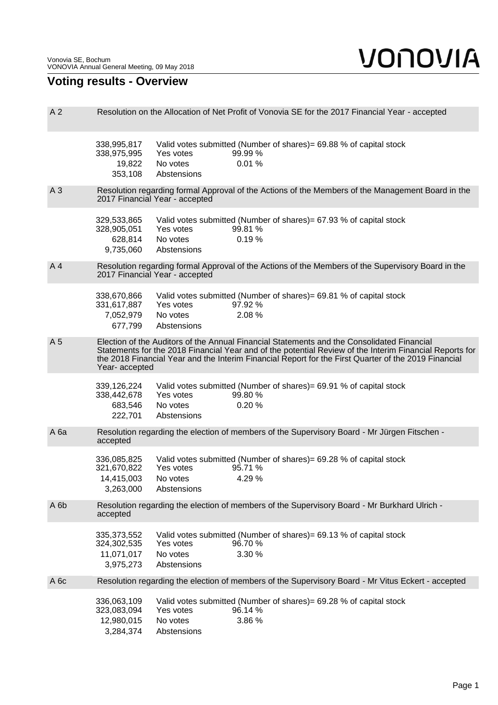## **Voting results - Overview**

| A <sub>2</sub>   | Resolution on the Allocation of Net Profit of Vonovia SE for the 2017 Financial Year - accepted                                                                                                                                                                                                                                |                                                                                                                                  |  |  |  |
|------------------|--------------------------------------------------------------------------------------------------------------------------------------------------------------------------------------------------------------------------------------------------------------------------------------------------------------------------------|----------------------------------------------------------------------------------------------------------------------------------|--|--|--|
|                  | 338,995,817<br>338,975,995<br>19,822<br>353,108                                                                                                                                                                                                                                                                                | Valid votes submitted (Number of shares) = 69.88 % of capital stock<br>Yes votes<br>99.99 %<br>No votes<br>0.01%<br>Abstensions  |  |  |  |
| A <sub>3</sub>   | Resolution regarding formal Approval of the Actions of the Members of the Management Board in the<br>2017 Financial Year - accepted                                                                                                                                                                                            |                                                                                                                                  |  |  |  |
|                  | 329,533,865<br>328,905,051<br>628,814<br>9,735,060                                                                                                                                                                                                                                                                             | Valid votes submitted (Number of shares)= 67.93 % of capital stock<br>Yes votes<br>99.81 %<br>0.19%<br>No votes<br>Abstensions   |  |  |  |
| A4               | Resolution regarding formal Approval of the Actions of the Members of the Supervisory Board in the<br>2017 Financial Year - accepted                                                                                                                                                                                           |                                                                                                                                  |  |  |  |
|                  | 338,670,866<br>331,617,887<br>7,052,979<br>677,799                                                                                                                                                                                                                                                                             | Valid votes submitted (Number of shares) = 69.81 % of capital stock<br>97.92%<br>Yes votes<br>2.08%<br>No votes<br>Abstensions   |  |  |  |
| A 5              | Election of the Auditors of the Annual Financial Statements and the Consolidated Financial<br>Statements for the 2018 Financial Year and of the potential Review of the Interim Financial Reports for<br>the 2018 Financial Year and the Interim Financial Report for the First Quarter of the 2019 Financial<br>Year-accepted |                                                                                                                                  |  |  |  |
|                  | 339,126,224<br>338,442,678<br>683,546<br>222,701                                                                                                                                                                                                                                                                               | Valid votes submitted (Number of shares) = 69.91 % of capital stock<br>Yes votes<br>99.80 %<br>0.20%<br>No votes<br>Abstensions  |  |  |  |
| A <sub>6a</sub>  | Resolution regarding the election of members of the Supervisory Board - Mr Jürgen Fitschen -<br>accepted                                                                                                                                                                                                                       |                                                                                                                                  |  |  |  |
|                  | 336,085,825<br>321,670,822<br>14,415,003<br>3,263,000                                                                                                                                                                                                                                                                          | Valid votes submitted (Number of shares) = 69.28 % of capital stock<br>Yes votes<br>95.71 %<br>4.29 %<br>No votes<br>Abstensions |  |  |  |
| A 6b             | Resolution regarding the election of members of the Supervisory Board - Mr Burkhard Ulrich -<br>accepted                                                                                                                                                                                                                       |                                                                                                                                  |  |  |  |
|                  | 335,373,552<br>324,302,535<br>11,071,017<br>3,975,273                                                                                                                                                                                                                                                                          | Valid votes submitted (Number of shares) = 69.13 % of capital stock<br>96.70 %<br>Yes votes<br>No votes<br>3.30 %<br>Abstensions |  |  |  |
| A <sub>6</sub> c | Resolution regarding the election of members of the Supervisory Board - Mr Vitus Eckert - accepted                                                                                                                                                                                                                             |                                                                                                                                  |  |  |  |
|                  | 336,063,109<br>323,083,094<br>12,980,015<br>3,284,374                                                                                                                                                                                                                                                                          | Valid votes submitted (Number of shares) = 69.28 % of capital stock<br>Yes votes<br>96.14 %<br>No votes<br>3.86 %<br>Abstensions |  |  |  |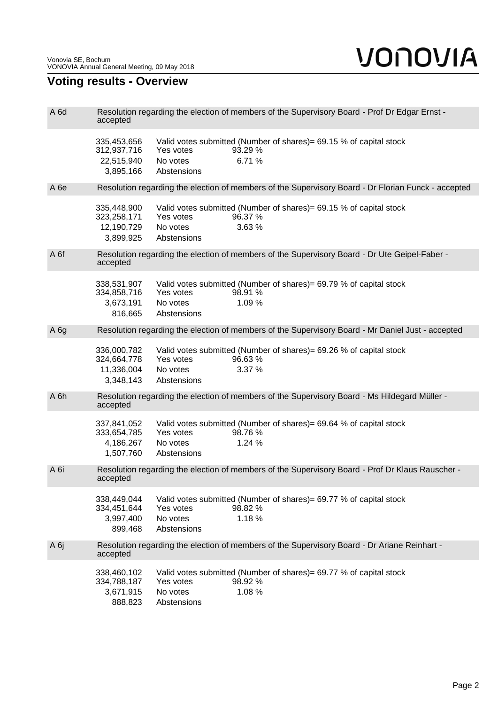## **Voting results - Overview**

| A <sub>6d</sub> | Resolution regarding the election of members of the Supervisory Board - Prof Dr Edgar Ernst -<br>accepted    |                                                                                                                                  |  |  |  |  |
|-----------------|--------------------------------------------------------------------------------------------------------------|----------------------------------------------------------------------------------------------------------------------------------|--|--|--|--|
|                 | 335,453,656<br>312,937,716<br>22,515,940<br>3,895,166                                                        | Valid votes submitted (Number of shares) = 69.15 % of capital stock<br>Yes votes<br>93.29 %<br>6.71%<br>No votes<br>Abstensions  |  |  |  |  |
| A <sub>6e</sub> | Resolution regarding the election of members of the Supervisory Board - Dr Florian Funck - accepted          |                                                                                                                                  |  |  |  |  |
|                 | 335,448,900<br>323,258,171<br>12,190,729<br>3,899,925                                                        | Valid votes submitted (Number of shares) = 69.15 % of capital stock<br>Yes votes<br>96.37 %<br>3.63%<br>No votes<br>Abstensions  |  |  |  |  |
| A 6f            | Resolution regarding the election of members of the Supervisory Board - Dr Ute Geipel-Faber -<br>accepted    |                                                                                                                                  |  |  |  |  |
|                 | 338,531,907<br>334,858,716<br>3,673,191<br>816,665                                                           | Valid votes submitted (Number of shares)= 69.79 % of capital stock<br>Yes votes<br>98.91 %<br>No votes<br>1.09 %<br>Abstensions  |  |  |  |  |
| A <sub>6g</sub> |                                                                                                              | Resolution regarding the election of members of the Supervisory Board - Mr Daniel Just - accepted                                |  |  |  |  |
|                 | 336,000,782<br>324,664,778<br>11,336,004<br>3,348,143                                                        | Valid votes submitted (Number of shares) = 69.26 % of capital stock<br>Yes votes<br>96.63%<br>3.37 %<br>No votes<br>Abstensions  |  |  |  |  |
| A 6h            | Resolution regarding the election of members of the Supervisory Board - Ms Hildegard Müller -<br>accepted    |                                                                                                                                  |  |  |  |  |
|                 | 337,841,052<br>333,654,785<br>4,186,267<br>1,507,760                                                         | Valid votes submitted (Number of shares) = 69.64 % of capital stock<br>Yes votes<br>98.76 %<br>No votes<br>1.24 %<br>Abstensions |  |  |  |  |
| A 6i            | Resolution regarding the election of members of the Supervisory Board - Prof Dr Klaus Rauscher -<br>accepted |                                                                                                                                  |  |  |  |  |
|                 | 338,449,044<br>334,451,644<br>3,997,400<br>899,468                                                           | Valid votes submitted (Number of shares) = 69.77 % of capital stock<br>Yes votes<br>98.82 %<br>1.18%<br>No votes<br>Abstensions  |  |  |  |  |
| A 6j            | accepted                                                                                                     | Resolution regarding the election of members of the Supervisory Board - Dr Ariane Reinhart -                                     |  |  |  |  |
|                 | 338,460,102<br>334,788,187<br>3,671,915<br>888,823                                                           | Valid votes submitted (Number of shares)= 69.77 % of capital stock<br>Yes votes<br>98.92 %<br>1.08%<br>No votes<br>Abstensions   |  |  |  |  |